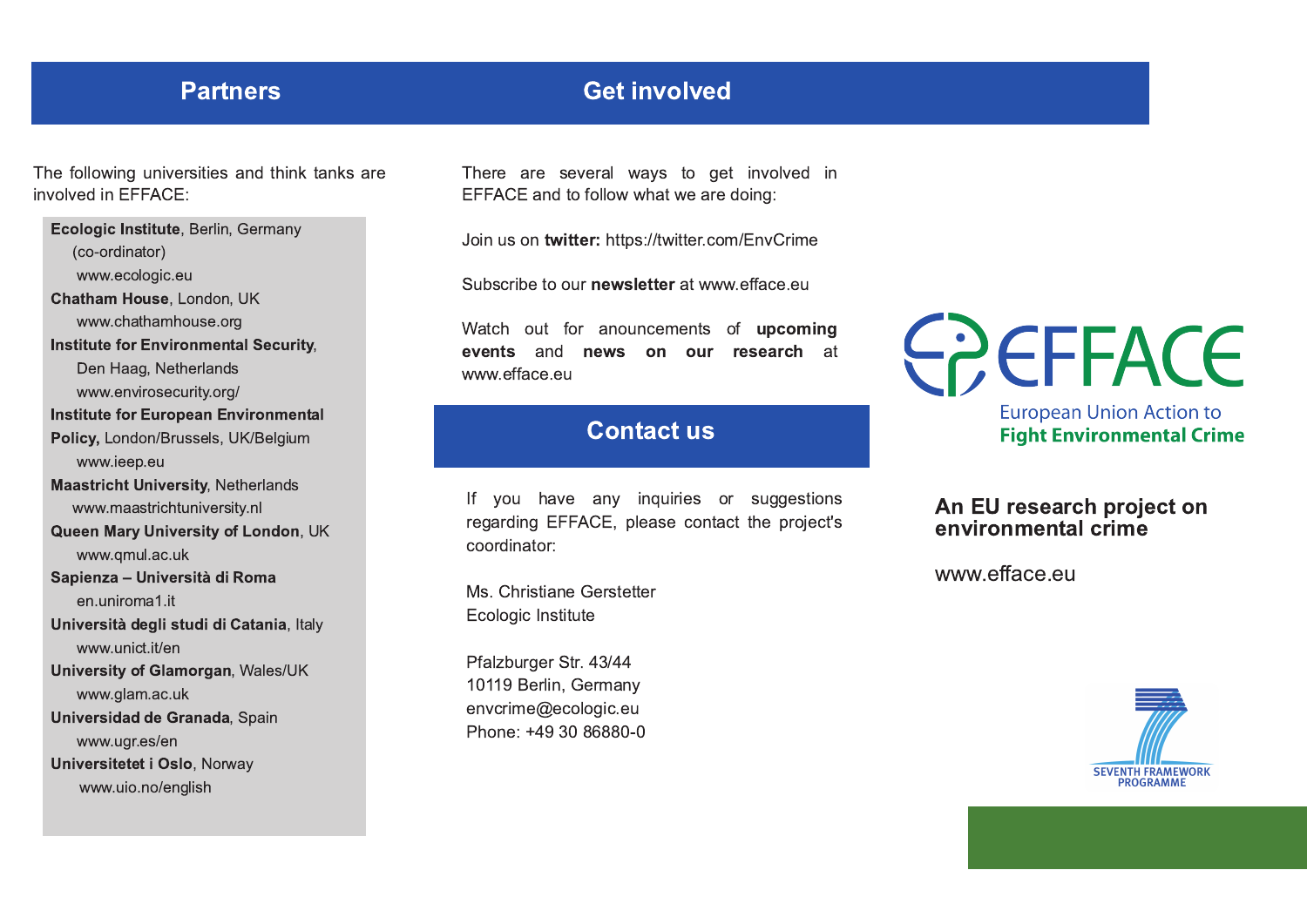### **Partners**

## **Get involved**

The following universities and think tanks are involved in FFFACF:

Ecologic Institute, Berlin, Germany (co-ordinator) www.ecologic.eu Chatham House, London, UK www.chathamhouse.org **Institute for Environmental Security,** Den Haag, Netherlands www.envirosecurity.org/ **Institute for European Environmental** Policy, London/Brussels, UK/Belgium www.ieep.eu **Maastricht University, Netherlands** www.maastrichtuniversity.nl Queen Mary University of London, UK www.gmul.ac.uk Sapienza - Università di Roma en.uniroma1.it Università degli studi di Catania, Italy www.unict.it/en University of Glamorgan, Wales/UK www.glam.ac.uk Universidad de Granada, Spain www.ugr.es/en Universitetet i Oslo, Norway www.uio.no/english

There are several ways to get involved in EFFACE and to follow what we are doing:

Join us on twitter: https://twitter.com/EnvCrime

Subscribe to our newsletter at www.efface.eu

Watch out for anouncements of upcoming events and news on our research at www.efface.eu

## **Contact us**

If you have any inquiries or suggestions regarding EFFACE, please contact the project's coordinator:

Ms. Christiane Gerstetter Ecologic Institute

Pfalzburger Str. 43/44 10119 Berlin, Germany envcrime@ecologic.eu Phone: +49 30 86880-0

# **COCEFACE**

**European Union Action to Fight Environmental Crime** 

#### An EU research project on environmental crime

www.efface.eu